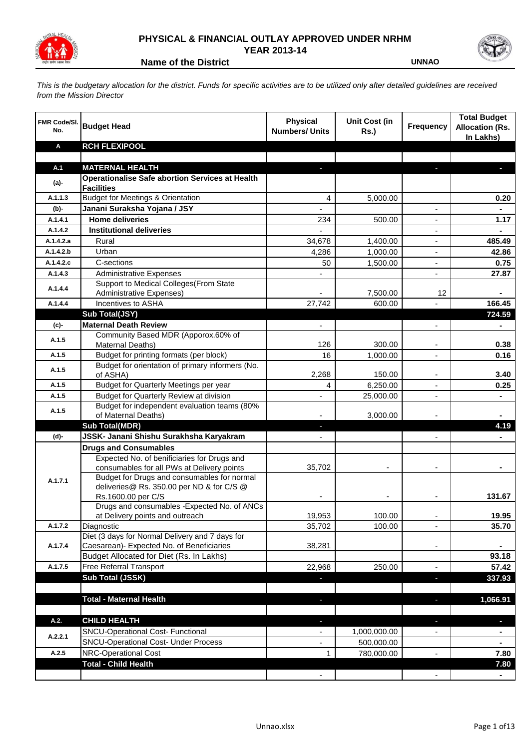

## **PHYSICAL & FINANCIAL OUTLAY APPROVED UNDER NRHM YEAR 2013-14**



**Name of the District Contract Contract Contract Contract Contract Contract Contract Contract Contract Contract Contract Contract Contract Contract Contract Contract Contract Contract Contract Contract Contract Contract Co** 

*This is the budgetary allocation for the district. Funds for specific activities are to be utilized only after detailed guidelines are received from the Mission Director*

| <b>FMR Code/SI.</b><br>No. | <b>Budget Head</b>                                                              | <b>Physical</b><br><b>Numbers/ Units</b> | <b>Unit Cost (in</b><br><b>Rs.)</b> | <b>Frequency</b> | <b>Total Budget</b><br><b>Allocation (Rs.</b><br>In Lakhs) |
|----------------------------|---------------------------------------------------------------------------------|------------------------------------------|-------------------------------------|------------------|------------------------------------------------------------|
| Α                          | <b>RCH FLEXIPOOL</b>                                                            |                                          |                                     |                  |                                                            |
|                            |                                                                                 |                                          |                                     |                  |                                                            |
| A.1                        | <b>MATERNAL HEALTH</b>                                                          |                                          |                                     |                  |                                                            |
| $(a)$ -                    | <b>Operationalise Safe abortion Services at Health</b>                          |                                          |                                     |                  |                                                            |
| A.1.1.3                    | <b>Facilities</b><br><b>Budget for Meetings &amp; Orientation</b>               |                                          |                                     |                  |                                                            |
| $(b)$ -                    | Janani Suraksha Yojana / JSY                                                    | 4                                        | 5,000.00                            | ä,               | 0.20                                                       |
| A.1.4.1                    | <b>Home deliveries</b>                                                          | 234                                      | 500.00                              |                  | 1.17                                                       |
| A.1.4.2                    | <b>Institutional deliveries</b>                                                 |                                          |                                     |                  |                                                            |
| A.1.4.2.a                  | Rural                                                                           | 34,678                                   | 1,400.00                            |                  | 485.49                                                     |
| A.1.4.2.b                  | Urban                                                                           | 4,286                                    | 1,000.00                            | $\blacksquare$   | 42.86                                                      |
| A.1.4.2.c                  | C-sections                                                                      | 50                                       | 1,500.00                            | $\blacksquare$   | 0.75                                                       |
| A.1.4.3                    | <b>Administrative Expenses</b>                                                  |                                          |                                     |                  | 27.87                                                      |
| A.1.4.4                    | Support to Medical Colleges (From State<br><b>Administrative Expenses)</b>      |                                          | 7,500.00                            | 12               |                                                            |
| A.1.4.4                    | Incentives to ASHA                                                              | 27,742                                   | 600.00                              | $\blacksquare$   | 166.45                                                     |
|                            | Sub Total(JSY)                                                                  |                                          |                                     |                  | 724.59                                                     |
| $(c)$ -                    | <b>Maternal Death Review</b>                                                    | $\blacksquare$                           |                                     |                  |                                                            |
| A.1.5                      | Community Based MDR (Apporox.60% of<br>Maternal Deaths)                         | 126                                      | 300.00                              |                  | 0.38                                                       |
| A.1.5                      | Budget for printing formats (per block)                                         | 16                                       | 1,000.00                            |                  | 0.16                                                       |
| A.1.5                      | Budget for orientation of primary informers (No.                                | 2,268                                    | 150.00                              |                  | 3.40                                                       |
| A.1.5                      | of ASHA)<br>Budget for Quarterly Meetings per year                              | 4                                        | 6,250.00                            |                  | 0.25                                                       |
| A.1.5                      | Budget for Quarterly Review at division                                         |                                          | 25,000.00                           | $\blacksquare$   |                                                            |
| A.1.5                      | Budget for independent evaluation teams (80%                                    |                                          |                                     |                  |                                                            |
|                            | of Maternal Deaths)<br><b>Sub Total(MDR)</b>                                    | J,                                       | 3,000.00                            |                  | 4.19                                                       |
| (d)-                       | JSSK- Janani Shishu Surakhsha Karyakram                                         | $\blacksquare$                           |                                     | $\overline{a}$   |                                                            |
|                            | <b>Drugs and Consumables</b>                                                    |                                          |                                     |                  |                                                            |
|                            | Expected No. of benificiaries for Drugs and                                     |                                          |                                     |                  |                                                            |
|                            | consumables for all PWs at Delivery points                                      | 35,702                                   |                                     |                  |                                                            |
| A.1.7.1                    | Budget for Drugs and consumables for normal                                     |                                          |                                     |                  |                                                            |
|                            | deliveries@ Rs. 350.00 per ND & for C/S @                                       |                                          |                                     |                  |                                                            |
|                            | Rs.1600.00 per C/S                                                              |                                          |                                     |                  | 131.67                                                     |
|                            | Drugs and consumables - Expected No. of ANCs<br>at Delivery points and outreach | 19,953                                   | 100.00                              |                  | 19.95                                                      |
| A.1.7.2                    | Diagnostic                                                                      | 35,702                                   | 100.00                              |                  | 35.70                                                      |
|                            | Diet (3 days for Normal Delivery and 7 days for                                 |                                          |                                     |                  |                                                            |
| A.1.7.4                    | Caesarean)- Expected No. of Beneficiaries                                       | 38,281                                   |                                     |                  |                                                            |
|                            | Budget Allocated for Diet (Rs. In Lakhs)                                        |                                          |                                     |                  | 93.18                                                      |
| A.1.7.5                    | <b>Free Referral Transport</b>                                                  | 22,968                                   | 250.00                              |                  | 57.42                                                      |
|                            | Sub Total (JSSK)                                                                | a,                                       |                                     | н                | 337.93                                                     |
|                            |                                                                                 |                                          |                                     |                  |                                                            |
|                            | <b>Total - Maternal Health</b>                                                  | a,                                       |                                     | r.               | 1,066.91                                                   |
| A.2.                       | <b>CHILD HEALTH</b>                                                             | ı                                        |                                     | r.               | U                                                          |
|                            | <b>SNCU-Operational Cost- Functional</b>                                        |                                          | 1,000,000.00                        |                  |                                                            |
| A.2.2.1                    | <b>SNCU-Operational Cost- Under Process</b>                                     |                                          | 500,000.00                          |                  |                                                            |
| A.2.5                      | <b>NRC-Operational Cost</b>                                                     | 1                                        | 780,000.00                          |                  | 7.80                                                       |
|                            | <b>Total - Child Health</b>                                                     |                                          |                                     |                  | 7.80                                                       |
|                            |                                                                                 |                                          |                                     |                  |                                                            |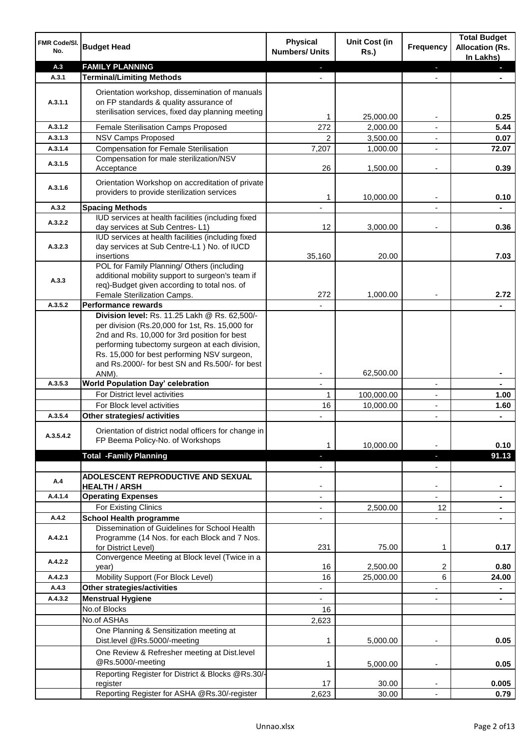| <b>FMR Code/SI.</b><br>No. | <b>Budget Head</b>                                                                                                                                                                                                                                                                                            | <b>Physical</b><br><b>Numbers/ Units</b> | <b>Unit Cost (in</b><br><b>Rs.)</b> | <b>Frequency</b> | <b>Total Budget</b><br><b>Allocation (Rs.</b><br>In Lakhs) |
|----------------------------|---------------------------------------------------------------------------------------------------------------------------------------------------------------------------------------------------------------------------------------------------------------------------------------------------------------|------------------------------------------|-------------------------------------|------------------|------------------------------------------------------------|
| A.3                        | <b>FAMILY PLANNING</b>                                                                                                                                                                                                                                                                                        |                                          |                                     | J,               |                                                            |
| A.3.1                      | <b>Terminal/Limiting Methods</b>                                                                                                                                                                                                                                                                              |                                          |                                     |                  |                                                            |
| A.3.1.1                    | Orientation workshop, dissemination of manuals<br>on FP standards & quality assurance of<br>sterilisation services, fixed day planning meeting                                                                                                                                                                |                                          | 25,000.00                           |                  | 0.25                                                       |
| A.3.1.2                    | Female Sterilisation Camps Proposed                                                                                                                                                                                                                                                                           | 272                                      | 2,000.00                            | ÷,               | 5.44                                                       |
| A.3.1.3                    | <b>NSV Camps Proposed</b>                                                                                                                                                                                                                                                                                     | 2                                        | 3,500.00                            |                  | 0.07                                                       |
| A.3.1.4                    | <b>Compensation for Female Sterilisation</b>                                                                                                                                                                                                                                                                  | 7,207                                    | 1,000.00                            | $\blacksquare$   | 72.07                                                      |
| A.3.1.5                    | Compensation for male sterilization/NSV<br>Acceptance                                                                                                                                                                                                                                                         | 26                                       | 1,500.00                            | $\blacksquare$   | 0.39                                                       |
| A.3.1.6                    | Orientation Workshop on accreditation of private<br>providers to provide sterilization services                                                                                                                                                                                                               | 1                                        | 10,000.00                           |                  | 0.10                                                       |
| A.3.2                      | <b>Spacing Methods</b>                                                                                                                                                                                                                                                                                        |                                          |                                     |                  |                                                            |
| A.3.2.2                    | IUD services at health facilities (including fixed<br>day services at Sub Centres-L1)                                                                                                                                                                                                                         | 12                                       | 3,000.00                            |                  | 0.36                                                       |
| A.3.2.3                    | IUD services at health facilities (including fixed<br>day services at Sub Centre-L1 ) No. of IUCD<br>insertions                                                                                                                                                                                               | 35,160                                   | 20.00                               |                  | 7.03                                                       |
| A.3.3                      | POL for Family Planning/ Others (including<br>additional mobility support to surgeon's team if<br>req)-Budget given according to total nos. of<br>Female Sterilization Camps.                                                                                                                                 | 272                                      | 1,000.00                            |                  | 2.72                                                       |
| A.3.5.2                    | <b>Performance rewards</b>                                                                                                                                                                                                                                                                                    |                                          |                                     |                  |                                                            |
|                            | Division level: Rs. 11.25 Lakh @ Rs. 62,500/-<br>per division (Rs.20,000 for 1st, Rs. 15,000 for<br>2nd and Rs. 10,000 for 3rd position for best<br>performing tubectomy surgeon at each division,<br>Rs. 15,000 for best performing NSV surgeon,<br>and Rs.2000/- for best SN and Rs.500/- for best<br>ANM). |                                          | 62,500.00                           |                  |                                                            |
| A.3.5.3                    | <b>World Population Day' celebration</b>                                                                                                                                                                                                                                                                      | ٠                                        |                                     | $\blacksquare$   |                                                            |
|                            | For District level activities                                                                                                                                                                                                                                                                                 | $\mathbf{1}$                             | 100,000.00                          | $\blacksquare$   | 1.00                                                       |
|                            | For Block level activities                                                                                                                                                                                                                                                                                    | 16                                       | 10,000.00                           | $\blacksquare$   | 1.60                                                       |
| A.3.5.4                    | Other strategies/ activities                                                                                                                                                                                                                                                                                  |                                          |                                     |                  |                                                            |
| A.3.5.4.2                  | Orientation of district nodal officers for change in<br>FP Beema Policy-No. of Workshops                                                                                                                                                                                                                      | 1                                        | 10,000.00                           |                  | 0.10                                                       |
|                            | <b>Total -Family Planning</b>                                                                                                                                                                                                                                                                                 | ı                                        |                                     | J,               | 91.13                                                      |
|                            | ADOLESCENT REPRODUCTIVE AND SEXUAL                                                                                                                                                                                                                                                                            |                                          |                                     | $\overline{a}$   |                                                            |
| A.4                        | <b>HEALTH / ARSH</b>                                                                                                                                                                                                                                                                                          |                                          |                                     |                  |                                                            |
| A.4.1.4                    | <b>Operating Expenses</b>                                                                                                                                                                                                                                                                                     | $\overline{\phantom{m}}$                 |                                     |                  |                                                            |
|                            | For Existing Clinics                                                                                                                                                                                                                                                                                          |                                          | 2,500.00                            | 12               |                                                            |
| A.4.2                      | <b>School Health programme</b>                                                                                                                                                                                                                                                                                | ٠                                        |                                     |                  |                                                            |
| A.4.2.1                    | Dissemination of Guidelines for School Health<br>Programme (14 Nos. for each Block and 7 Nos.<br>for District Level)                                                                                                                                                                                          | 231                                      | 75.00                               | 1                | 0.17                                                       |
| A.4.2.2                    | Convergence Meeting at Block level (Twice in a                                                                                                                                                                                                                                                                |                                          |                                     |                  |                                                            |
|                            | year)                                                                                                                                                                                                                                                                                                         | 16                                       | 2,500.00                            | 2                | 0.80                                                       |
| A.4.2.3                    | Mobility Support (For Block Level)                                                                                                                                                                                                                                                                            | 16                                       | 25,000.00                           | 6                | 24.00                                                      |
| A.4.3                      | Other strategies/activities                                                                                                                                                                                                                                                                                   |                                          |                                     |                  |                                                            |
| A.4.3.2                    | <b>Menstrual Hygiene</b>                                                                                                                                                                                                                                                                                      |                                          |                                     |                  | $\blacksquare$                                             |
|                            | No.of Blocks                                                                                                                                                                                                                                                                                                  | 16                                       |                                     |                  |                                                            |
|                            | No.of ASHAs                                                                                                                                                                                                                                                                                                   | 2,623                                    |                                     |                  |                                                            |
|                            | One Planning & Sensitization meeting at<br>Dist.level @Rs.5000/-meeting                                                                                                                                                                                                                                       | 1                                        | 5,000.00                            |                  | 0.05                                                       |
|                            | One Review & Refresher meeting at Dist.level<br>@Rs.5000/-meeting                                                                                                                                                                                                                                             | 1                                        | 5,000.00                            | ٠                | 0.05                                                       |
|                            | Reporting Register for District & Blocks @Rs.30/-<br>register                                                                                                                                                                                                                                                 | 17                                       | 30.00                               |                  | 0.005                                                      |
|                            | Reporting Register for ASHA @Rs.30/-register                                                                                                                                                                                                                                                                  | 2,623                                    | 30.00                               |                  | 0.79                                                       |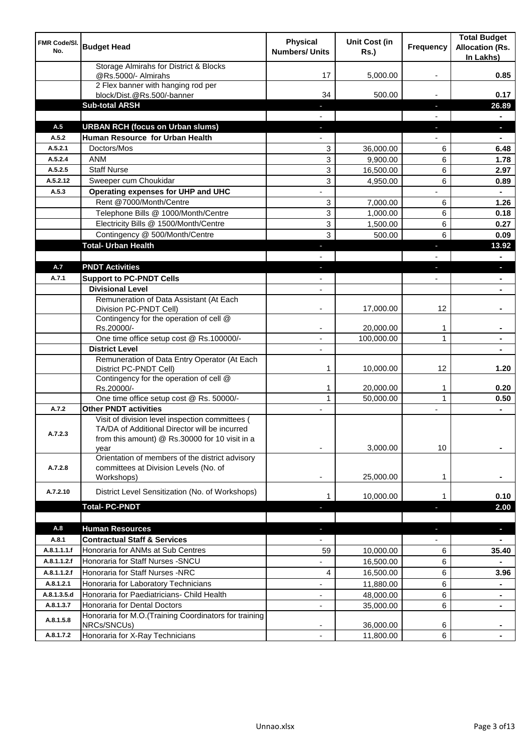| <b>FMR Code/SI.</b><br>No. | <b>Budget Head</b>                                                                                                                                 | <b>Physical</b><br><b>Numbers/ Units</b> | <b>Unit Cost (in</b><br><b>Rs.)</b> | <b>Frequency</b> | <b>Total Budget</b><br><b>Allocation (Rs.</b><br>In Lakhs) |
|----------------------------|----------------------------------------------------------------------------------------------------------------------------------------------------|------------------------------------------|-------------------------------------|------------------|------------------------------------------------------------|
|                            | Storage Almirahs for District & Blocks<br>@Rs.5000/- Almirahs                                                                                      | 17                                       | 5,000.00                            |                  | 0.85                                                       |
|                            | 2 Flex banner with hanging rod per<br>block/Dist.@Rs.500/-banner                                                                                   | 34                                       | 500.00                              |                  | 0.17                                                       |
|                            | <b>Sub-total ARSH</b>                                                                                                                              | r                                        |                                     | T.               | 26.89                                                      |
|                            |                                                                                                                                                    |                                          |                                     |                  |                                                            |
| A.5<br>A.5.2               | <b>URBAN RCH (focus on Urban slums)</b><br>Human Resource for Urban Health                                                                         | J,                                       |                                     | н                | $\overline{\phantom{a}}$                                   |
| A.5.2.1                    | Doctors/Mos                                                                                                                                        | 3                                        | 36,000.00                           | 6                | 6.48                                                       |
| A.5.2.4                    | <b>ANM</b>                                                                                                                                         | 3                                        | 9,900.00                            | 6                | 1.78                                                       |
| A.5.2.5                    | <b>Staff Nurse</b>                                                                                                                                 | 3                                        | 16,500.00                           | 6                | 2.97                                                       |
| A.5.2.12                   | Sweeper cum Choukidar                                                                                                                              | 3                                        | 4,950.00                            | 6                | 0.89                                                       |
| A.5.3                      | Operating expenses for UHP and UHC                                                                                                                 |                                          |                                     |                  | $\blacksquare$                                             |
|                            | Rent @7000/Month/Centre                                                                                                                            | 3                                        | 7,000.00                            | 6                | 1.26                                                       |
|                            | Telephone Bills @ 1000/Month/Centre                                                                                                                | 3                                        | 1,000.00                            | 6                | 0.18                                                       |
|                            | Electricity Bills @ 1500/Month/Centre                                                                                                              | $\mathbf{3}$                             | 1,500.00                            | 6                | 0.27                                                       |
|                            | Contingency @ 500/Month/Centre                                                                                                                     | $\mathbf{3}$                             | 500.00                              | 6                | 0.09                                                       |
|                            | <b>Total- Urban Health</b>                                                                                                                         | r                                        |                                     | T                | 13.92                                                      |
|                            |                                                                                                                                                    |                                          |                                     |                  | $\blacksquare$                                             |
| A.7                        | <b>PNDT Activities</b>                                                                                                                             | T                                        |                                     | Е                | $\overline{\phantom{a}}$                                   |
| A.7.1                      | <b>Support to PC-PNDT Cells</b>                                                                                                                    | ٠                                        |                                     |                  | $\blacksquare$                                             |
|                            | <b>Divisional Level</b>                                                                                                                            | -                                        |                                     |                  | ٠                                                          |
|                            | Remuneration of Data Assistant (At Each<br>Division PC-PNDT Cell)                                                                                  |                                          | 17,000.00                           | 12               |                                                            |
|                            | Contingency for the operation of cell @<br>Rs.20000/-                                                                                              |                                          | 20,000.00                           | 1                |                                                            |
|                            | One time office setup cost @ Rs.100000/-                                                                                                           |                                          | 100,000.00                          | $\mathbf{1}$     |                                                            |
|                            | <b>District Level</b>                                                                                                                              |                                          |                                     |                  |                                                            |
|                            | Remuneration of Data Entry Operator (At Each<br>District PC-PNDT Cell)                                                                             | 1                                        | 10,000.00                           | 12               | 1.20                                                       |
|                            | Contingency for the operation of cell @<br>Rs.20000/-                                                                                              | 1                                        | 20,000.00                           | 1                | 0.20                                                       |
|                            | One time office setup cost @ Rs. 50000/-                                                                                                           | 1                                        | 50,000.00                           | 1                | 0.50                                                       |
| A.7.2                      | <b>Other PNDT activities</b>                                                                                                                       |                                          |                                     |                  |                                                            |
| A.7.2.3                    | Visit of division level inspection committees (<br>TA/DA of Additional Director will be incurred<br>from this amount) @ Rs.30000 for 10 visit in a |                                          |                                     |                  |                                                            |
|                            | vear<br>Orientation of members of the district advisory                                                                                            |                                          | 3,000.00                            | 10               |                                                            |
| A.7.2.8                    | committees at Division Levels (No. of<br>Workshops)                                                                                                |                                          | 25,000.00                           | 1                |                                                            |
| A.7.2.10                   | District Level Sensitization (No. of Workshops)                                                                                                    | 1                                        | 10,000.00                           |                  | 0.10                                                       |
|                            | <b>Total-PC-PNDT</b>                                                                                                                               |                                          |                                     | Е                | 2.00                                                       |
|                            |                                                                                                                                                    |                                          |                                     |                  |                                                            |
| A.8                        | <b>Human Resources</b>                                                                                                                             | F                                        |                                     | f,               | ٠                                                          |
| A.8.1                      | <b>Contractual Staff &amp; Services</b>                                                                                                            | -                                        |                                     |                  | $\blacksquare$                                             |
| A.8.1.1.1.f                | Honoraria for ANMs at Sub Centres                                                                                                                  | 59                                       | 10,000.00                           | 6                | 35.40                                                      |
| A.8.1.1.2.f                | Honoraria for Staff Nurses - SNCU                                                                                                                  | $\overline{\phantom{a}}$                 | 16,500.00                           | 6                |                                                            |
| A.8.1.1.2.f                | Honoraria for Staff Nurses -NRC                                                                                                                    | $\overline{4}$                           | 16,500.00                           | 6                | 3.96                                                       |
| A.8.1.2.1                  | Honoraria for Laboratory Technicians                                                                                                               | $\overline{\phantom{m}}$                 | 11,880.00                           | 6                | $\blacksquare$                                             |
| A.8.1.3.5.d                | Honoraria for Paediatricians- Child Health                                                                                                         |                                          | 48,000.00                           | 6                |                                                            |
| A.8.1.3.7                  | Honoraria for Dental Doctors                                                                                                                       | $\overline{\phantom{m}}$                 | 35,000.00                           | 6                |                                                            |
| A.8.1.5.8                  | Honoraria for M.O.(Training Coordinators for training<br>NRCs/SNCUs)                                                                               |                                          | 36,000.00                           | 6                |                                                            |
| A.8.1.7.2                  | Honoraria for X-Ray Technicians                                                                                                                    |                                          | 11,800.00                           | 6                |                                                            |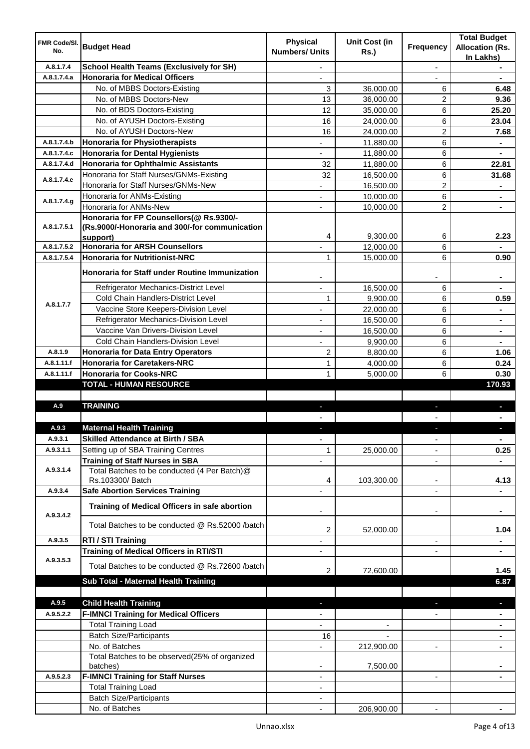| FMR Code/SI.<br>No. | <b>Budget Head</b>                                        | <b>Physical</b><br><b>Numbers/ Units</b> | <b>Unit Cost (in</b><br><b>Rs.)</b> | <b>Frequency</b>         | <b>Total Budget</b><br><b>Allocation (Rs.</b> |
|---------------------|-----------------------------------------------------------|------------------------------------------|-------------------------------------|--------------------------|-----------------------------------------------|
|                     |                                                           |                                          |                                     |                          | In Lakhs)                                     |
| A.8.1.7.4           | <b>School Health Teams (Exclusively for SH)</b>           |                                          |                                     | ÷,                       |                                               |
| A.8.1.7.4.a         | <b>Honoraria for Medical Officers</b>                     |                                          |                                     |                          |                                               |
|                     | No. of MBBS Doctors-Existing                              | 3                                        | 36,000.00                           | 6                        | 6.48                                          |
|                     | No. of MBBS Doctors-New                                   | 13                                       | 36,000.00                           | 2                        | 9.36                                          |
|                     | No. of BDS Doctors-Existing                               | 12<br>16                                 | 35,000.00                           | 6<br>6                   | 25.20                                         |
|                     | No. of AYUSH Doctors-Existing<br>No. of AYUSH Doctors-New |                                          | 24,000.00                           |                          | 23.04                                         |
| A.8.1.7.4.b         | <b>Honoraria for Physiotherapists</b>                     | 16                                       | 24,000.00<br>11,880.00              | 2<br>6                   | 7.68                                          |
| A.8.1.7.4.c         | <b>Honoraria for Dental Hygienists</b>                    |                                          | 11,880.00                           | 6                        | ۰<br>$\blacksquare$                           |
| A.8.1.7.4.d         | <b>Honoraria for Ophthalmic Assistants</b>                | 32                                       | 11,880.00                           | 6                        | 22.81                                         |
|                     | Honoraria for Staff Nurses/GNMs-Existing                  | 32                                       | 16,500.00                           | 6                        | 31.68                                         |
| A.8.1.7.4.e         | Honoraria for Staff Nurses/GNMs-New                       |                                          | 16,500.00                           | $\overline{2}$           |                                               |
|                     | Honoraria for ANMs-Existing                               |                                          | 10,000.00                           | 6                        |                                               |
| A.8.1.7.4.9         | Honoraria for ANMs-New                                    |                                          | 10,000.00                           | $\overline{2}$           |                                               |
|                     | Honoraria for FP Counsellors(@ Rs.9300/-                  |                                          |                                     |                          |                                               |
| A.8.1.7.5.1         | (Rs.9000/-Honoraria and 300/-for communication            |                                          |                                     |                          |                                               |
|                     | support)                                                  | 4                                        | 9,300.00                            | 6                        | 2.23                                          |
| A.8.1.7.5.2         | <b>Honoraria for ARSH Counsellors</b>                     | $\overline{\phantom{a}}$                 | 12,000.00                           | 6                        | $\blacksquare$                                |
| A.8.1.7.5.4         | <b>Honoraria for Nutritionist-NRC</b>                     | 1                                        | 15,000.00                           | 6                        | 0.90                                          |
|                     | Honoraria for Staff under Routine Immunization            |                                          |                                     |                          |                                               |
|                     | Refrigerator Mechanics-District Level                     |                                          | 16,500.00                           | 6                        |                                               |
| A.8.1.7.7           | Cold Chain Handlers-District Level                        | 1                                        | 9,900.00                            | 6                        | 0.59                                          |
|                     | Vaccine Store Keepers-Division Level                      |                                          | 22,000.00                           | 6                        | $\blacksquare$                                |
|                     | Refrigerator Mechanics-Division Level                     | ä,                                       | 16,500.00                           | 6                        | $\blacksquare$                                |
|                     | Vaccine Van Drivers-Division Level                        | ä,                                       | 16,500.00                           | 6                        | $\blacksquare$                                |
|                     | Cold Chain Handlers-Division Level                        | ٠                                        | 9,900.00                            | 6                        | ۰                                             |
| A.8.1.9             | <b>Honoraria for Data Entry Operators</b>                 | $\overline{c}$                           | 8,800.00                            | 6                        | 1.06                                          |
| A.8.1.11.f          | <b>Honoraria for Caretakers-NRC</b>                       | 1                                        | 4,000.00                            | 6                        | 0.24                                          |
| A.8.1.11.f          | <b>Honoraria for Cooks-NRC</b>                            | 1                                        | 5,000.00                            | 6                        | 0.30                                          |
|                     | <b>TOTAL - HUMAN RESOURCE</b>                             |                                          |                                     |                          | 170.93                                        |
| A.9                 | <b>TRAINING</b>                                           |                                          |                                     |                          |                                               |
|                     |                                                           | r.                                       |                                     | ٠                        | D.                                            |
| A.9.3               | <b>Maternal Health Training</b>                           |                                          |                                     |                          |                                               |
| A.9.3.1             | <b>Skilled Attendance at Birth / SBA</b>                  | $\overline{\phantom{a}}$                 |                                     | ÷,                       | $\blacksquare$                                |
| A.9.3.1.1           | Setting up of SBA Training Centres                        | 1                                        | 25,000.00                           | $\overline{\phantom{a}}$ | 0.25                                          |
|                     | <b>Training of Staff Nurses in SBA</b>                    | L,                                       |                                     | $\blacksquare$           |                                               |
| A.9.3.1.4           | Total Batches to be conducted (4 Per Batch)@              |                                          |                                     |                          |                                               |
|                     | Rs.103300/Batch                                           | 4                                        | 103,300.00                          | -                        | 4.13                                          |
| A.9.3.4             | <b>Safe Abortion Services Training</b>                    |                                          |                                     | ä,                       |                                               |
|                     | Training of Medical Officers in safe abortion             |                                          |                                     |                          | ۰                                             |
| A.9.3.4.2           | Total Batches to be conducted @ Rs.52000 /batch           | 2                                        | 52,000.00                           |                          | 1.04                                          |
| A.9.3.5             | RTI / STI Training                                        | ٠                                        |                                     | ÷,                       | ۰                                             |
|                     | <b>Training of Medical Officers in RTI/STI</b>            | ٠                                        |                                     | ٠                        | $\blacksquare$                                |
| A.9.3.5.3           | Total Batches to be conducted @ Rs.72600 /batch           | 2                                        | 72,600.00                           |                          | 1.45                                          |
|                     | Sub Total - Maternal Health Training                      |                                          |                                     |                          | 6.87                                          |
|                     |                                                           |                                          |                                     |                          |                                               |
| A.9.5               | <b>Child Health Training</b>                              | н                                        |                                     |                          | F                                             |
| A.9.5.2.2           | <b>F-IMNCI Training for Medical Officers</b>              |                                          |                                     |                          | ۰                                             |
|                     | <b>Total Training Load</b>                                | $\overline{\phantom{a}}$                 | $\overline{\phantom{a}}$            |                          | ۰                                             |
|                     | <b>Batch Size/Participants</b>                            | 16                                       |                                     |                          | ٠                                             |
|                     | No. of Batches                                            | $\overline{\phantom{a}}$                 | 212,900.00                          | ۰                        | ٠                                             |
|                     | Total Batches to be observed(25% of organized             |                                          |                                     |                          |                                               |
| A.9.5.2.3           | batches)<br><b>F-IMNCI Training for Staff Nurses</b>      |                                          | 7,500.00                            |                          |                                               |
|                     | <b>Total Training Load</b>                                | $\overline{a}$<br>$\overline{a}$         |                                     | $\overline{\phantom{a}}$ |                                               |
|                     | <b>Batch Size/Participants</b>                            | $\overline{a}$                           |                                     |                          |                                               |
|                     | No. of Batches                                            | $\blacksquare$                           | 206,900.00                          |                          |                                               |
|                     |                                                           |                                          |                                     |                          |                                               |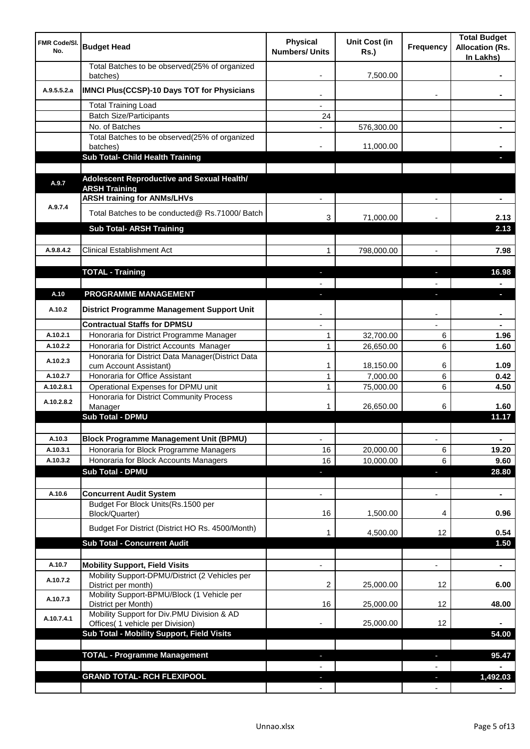| <b>FMR Code/SI.</b><br>No. | <b>Budget Head</b>                                                                    | <b>Physical</b><br><b>Numbers/ Units</b> | <b>Unit Cost (in</b><br><b>Rs.)</b> | <b>Frequency</b> | <b>Total Budget</b><br><b>Allocation (Rs.</b><br>In Lakhs) |
|----------------------------|---------------------------------------------------------------------------------------|------------------------------------------|-------------------------------------|------------------|------------------------------------------------------------|
|                            | Total Batches to be observed(25% of organized<br>batches)                             |                                          | 7,500.00                            |                  |                                                            |
| A.9.5.5.2.a                | IMNCI Plus(CCSP)-10 Days TOT for Physicians                                           |                                          |                                     |                  |                                                            |
|                            | <b>Total Training Load</b>                                                            |                                          |                                     |                  |                                                            |
|                            | <b>Batch Size/Participants</b>                                                        | 24                                       |                                     |                  |                                                            |
|                            | No. of Batches                                                                        |                                          | 576,300.00                          |                  |                                                            |
|                            | Total Batches to be observed(25% of organized<br>batches)                             |                                          | 11,000.00                           |                  |                                                            |
|                            | Sub Total- Child Health Training                                                      |                                          |                                     |                  |                                                            |
|                            |                                                                                       |                                          |                                     |                  |                                                            |
| A.9.7                      | Adolescent Reproductive and Sexual Health/<br><b>ARSH Training</b>                    |                                          |                                     |                  |                                                            |
|                            | <b>ARSH training for ANMs/LHVs</b>                                                    |                                          |                                     |                  |                                                            |
| A.9.7.4                    | Total Batches to be conducted@ Rs.71000/ Batch                                        | 3                                        | 71,000.00                           |                  | 2.13                                                       |
|                            | <b>Sub Total- ARSH Training</b>                                                       |                                          |                                     |                  | 2.13                                                       |
|                            |                                                                                       |                                          |                                     |                  |                                                            |
| A.9.8.4.2                  | <b>Clinical Establishment Act</b>                                                     | 1                                        | 798,000.00                          |                  | 7.98                                                       |
|                            |                                                                                       |                                          |                                     |                  |                                                            |
|                            | <b>TOTAL - Training</b>                                                               |                                          |                                     |                  | 16.98                                                      |
|                            |                                                                                       |                                          |                                     |                  |                                                            |
| A.10                       | <b>PROGRAMME MANAGEMENT</b>                                                           |                                          |                                     |                  | o.                                                         |
| A.10.2                     | District Programme Management Support Unit                                            |                                          |                                     |                  |                                                            |
|                            | <b>Contractual Staffs for DPMSU</b>                                                   |                                          |                                     |                  |                                                            |
| A.10.2.1                   | Honoraria for District Programme Manager                                              | 1                                        | 32,700.00                           | 6                | 1.96                                                       |
| A.10.2.2                   | Honoraria for District Accounts Manager                                               | 1                                        | 26,650.00                           | 6                | 1.60                                                       |
| A.10.2.3                   | Honoraria for District Data Manager(District Data<br>cum Account Assistant)           | 1                                        | 18,150.00                           | 6                | 1.09                                                       |
| A.10.2.7                   | Honoraria for Office Assistant                                                        | 1                                        | 7,000.00                            | 6                | 0.42                                                       |
| A.10.2.8.1                 | Operational Expenses for DPMU unit                                                    | 1                                        | 75,000.00                           | 6                | 4.50                                                       |
| A.10.2.8.2                 | Honoraria for District Community Process                                              |                                          |                                     |                  |                                                            |
|                            | Manager                                                                               | 1                                        | 26,650.00                           | 6                | 1.60                                                       |
|                            | <b>Sub Total - DPMU</b>                                                               |                                          |                                     |                  | 11.17                                                      |
|                            |                                                                                       |                                          |                                     |                  |                                                            |
| A.10.3                     | <b>Block Programme Management Unit (BPMU)</b>                                         | ÷,                                       |                                     | $\blacksquare$   | $\blacksquare$                                             |
| A.10.3.1                   | Honoraria for Block Programme Managers<br>Honoraria for Block Accounts Managers       | 16                                       | 20,000.00                           | 6                | 19.20                                                      |
| A.10.3.2                   | <b>Sub Total - DPMU</b>                                                               | 16<br>◆                                  | 10,000.00                           | 6<br>r.          | 9.60<br>28.80                                              |
|                            |                                                                                       |                                          |                                     |                  |                                                            |
| A.10.6                     | <b>Concurrent Audit System</b>                                                        | $\blacksquare$                           |                                     | $\blacksquare$   | $\blacksquare$                                             |
|                            | Budget For Block Units(Rs.1500 per                                                    |                                          |                                     |                  |                                                            |
|                            | Block/Quarter)                                                                        | 16                                       | 1,500.00                            | 4                | 0.96                                                       |
|                            | Budget For District (District HO Rs. 4500/Month)                                      |                                          | 4,500.00                            | 12               | 0.54                                                       |
|                            | <b>Sub Total - Concurrent Audit</b>                                                   |                                          |                                     |                  | 1.50                                                       |
|                            |                                                                                       |                                          |                                     |                  |                                                            |
| A.10.7                     | <b>Mobility Support, Field Visits</b>                                                 |                                          |                                     |                  | $\blacksquare$                                             |
| A.10.7.2                   | Mobility Support-DPMU/District (2 Vehicles per<br>District per month)                 | 2                                        | 25,000.00                           | 12               | 6.00                                                       |
| A.10.7.3                   | Mobility Support-BPMU/Block (1 Vehicle per<br>District per Month)                     | 16                                       | 25,000.00                           | 12               | 48.00                                                      |
| A.10.7.4.1                 | Mobility Support for Div.PMU Division & AD                                            |                                          | 25,000.00                           | 12               |                                                            |
|                            | Offices( 1 vehicle per Division)<br><b>Sub Total - Mobility Support, Field Visits</b> |                                          |                                     |                  | 54.00                                                      |
|                            |                                                                                       |                                          |                                     |                  |                                                            |
|                            | <b>TOTAL - Programme Management</b>                                                   |                                          |                                     |                  | 95.47                                                      |
|                            |                                                                                       |                                          |                                     |                  |                                                            |
|                            | <b>GRAND TOTAL- RCH FLEXIPOOL</b>                                                     |                                          |                                     | н                | 1,492.03                                                   |
|                            |                                                                                       |                                          |                                     |                  |                                                            |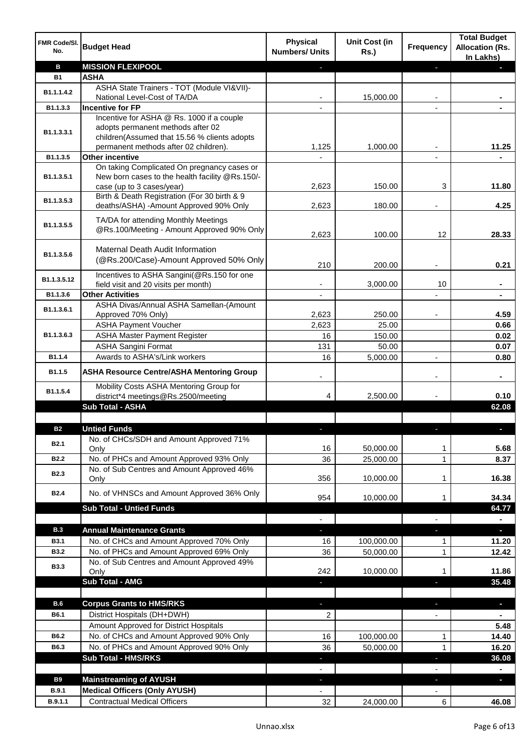| FMR Code/SI.<br>No. | <b>Budget Head</b>                                                             | <b>Physical</b><br><b>Numbers/ Units</b> | <b>Unit Cost (in</b><br><b>Rs.)</b> | <b>Frequency</b>         | <b>Total Budget</b><br><b>Allocation (Rs.</b><br>In Lakhs) |
|---------------------|--------------------------------------------------------------------------------|------------------------------------------|-------------------------------------|--------------------------|------------------------------------------------------------|
| В                   | <b>MISSION FLEXIPOOL</b>                                                       |                                          |                                     |                          |                                                            |
| <b>B1</b>           | <b>ASHA</b>                                                                    |                                          |                                     |                          |                                                            |
| B1.1.1.4.2          | ASHA State Trainers - TOT (Module VI&VII)-                                     |                                          |                                     |                          |                                                            |
|                     | National Level-Cost of TA/DA                                                   |                                          | 15,000.00                           |                          |                                                            |
| B1.1.3.3            | <b>Incentive for FP</b>                                                        |                                          |                                     |                          |                                                            |
|                     | Incentive for ASHA @ Rs. 1000 if a couple<br>adopts permanent methods after 02 |                                          |                                     |                          |                                                            |
| B1.1.3.3.1          | children(Assumed that 15.56 % clients adopts                                   |                                          |                                     |                          |                                                            |
|                     | permanent methods after 02 children).                                          | 1,125                                    | 1,000.00                            | ٠                        | 11.25                                                      |
| B1.1.3.5            | <b>Other incentive</b>                                                         |                                          |                                     |                          |                                                            |
|                     | On taking Complicated On pregnancy cases or                                    |                                          |                                     |                          |                                                            |
| B1.1.3.5.1          | New born cases to the health facility @Rs.150/-                                |                                          |                                     |                          |                                                            |
|                     | case (up to 3 cases/year)                                                      | 2,623                                    | 150.00                              | 3                        | 11.80                                                      |
| B1.1.3.5.3          | Birth & Death Registration (For 30 birth & 9                                   |                                          |                                     |                          |                                                            |
|                     | deaths/ASHA) -Amount Approved 90% Only                                         | 2,623                                    | 180.00                              |                          | 4.25                                                       |
|                     | TA/DA for attending Monthly Meetings                                           |                                          |                                     |                          |                                                            |
| B1.1.3.5.5          | @Rs.100/Meeting - Amount Approved 90% Only                                     | 2,623                                    | 100.00                              | 12                       | 28.33                                                      |
|                     |                                                                                |                                          |                                     |                          |                                                            |
| B1.1.3.5.6          | Maternal Death Audit Information                                               |                                          |                                     |                          |                                                            |
|                     | (@Rs.200/Case)-Amount Approved 50% Only                                        | 210                                      | 200.00                              |                          | 0.21                                                       |
|                     | Incentives to ASHA Sangini(@Rs.150 for one                                     |                                          |                                     |                          |                                                            |
| B1.1.3.5.12         | field visit and 20 visits per month)                                           |                                          | 3,000.00                            | 10                       |                                                            |
| B1.1.3.6            | <b>Other Activities</b>                                                        |                                          |                                     |                          |                                                            |
| B1.1.3.6.1          | ASHA Divas/Annual ASHA Samellan-(Amount                                        |                                          |                                     |                          |                                                            |
|                     | Approved 70% Only)                                                             | 2,623                                    | 250.00                              |                          | 4.59                                                       |
|                     | <b>ASHA Payment Voucher</b>                                                    | 2,623                                    | 25.00                               |                          | 0.66                                                       |
| B1.1.3.6.3          | <b>ASHA Master Payment Register</b>                                            | 16                                       | 150.00                              |                          | 0.02                                                       |
|                     | <b>ASHA Sangini Format</b>                                                     | 131                                      | 50.00                               |                          | 0.07                                                       |
| B1.1.4              | Awards to ASHA's/Link workers                                                  | 16                                       | 5,000.00                            | ä,                       | 0.80                                                       |
| B1.1.5              | <b>ASHA Resource Centre/ASHA Mentoring Group</b>                               |                                          |                                     |                          | ۰                                                          |
| B1.1.5.4            | Mobility Costs ASHA Mentoring Group for<br>district*4 meetings@Rs.2500/meeting | 4                                        | 2,500.00                            |                          | 0.10                                                       |
|                     | <b>Sub Total - ASHA</b>                                                        |                                          |                                     |                          | 62.08                                                      |
|                     |                                                                                |                                          |                                     |                          |                                                            |
| <b>B2</b>           | <b>Untied Funds</b>                                                            |                                          |                                     |                          |                                                            |
| <b>B2.1</b>         | No. of CHCs/SDH and Amount Approved 71%                                        |                                          |                                     |                          |                                                            |
|                     | Only                                                                           | 16                                       | 50,000.00                           | 1                        | 5.68                                                       |
| <b>B2.2</b>         | No. of PHCs and Amount Approved 93% Only                                       | 36                                       | 25,000.00                           | $\mathbf{1}$             | 8.37                                                       |
| <b>B2.3</b>         | No. of Sub Centres and Amount Approved 46%<br>Only                             | 356                                      | 10,000.00                           | 1                        | 16.38                                                      |
|                     |                                                                                |                                          |                                     |                          |                                                            |
| B <sub>2.4</sub>    | No. of VHNSCs and Amount Approved 36% Only                                     | 954                                      | 10,000.00                           | 1                        | 34.34                                                      |
|                     | <b>Sub Total - Untied Funds</b>                                                |                                          |                                     |                          | 64.77                                                      |
|                     |                                                                                | $\blacksquare$                           |                                     |                          | $\blacksquare$                                             |
| <b>B.3</b>          | <b>Annual Maintenance Grants</b>                                               | ٠                                        |                                     | J,                       | $\mathcal{L}_{\mathcal{A}}$                                |
| <b>B3.1</b>         | No. of CHCs and Amount Approved 70% Only                                       | 16                                       | 100,000.00                          | 1                        | 11.20                                                      |
| <b>B3.2</b>         | No. of PHCs and Amount Approved 69% Only                                       | 36                                       | 50,000.00                           | 1                        | 12.42                                                      |
| <b>B3.3</b>         | No. of Sub Centres and Amount Approved 49%                                     |                                          |                                     |                          |                                                            |
|                     | Only                                                                           | 242                                      | 10,000.00                           | 1                        | 11.86                                                      |
|                     | Sub Total - AMG                                                                |                                          |                                     |                          | 35.48                                                      |
|                     |                                                                                |                                          |                                     |                          |                                                            |
| B.6                 | <b>Corpus Grants to HMS/RKS</b>                                                | J,                                       |                                     |                          | $\blacksquare$                                             |
| <b>B6.1</b>         | District Hospitals (DH+DWH)                                                    | 2                                        |                                     | $\overline{\phantom{a}}$ |                                                            |
|                     | Amount Approved for District Hospitals                                         |                                          |                                     |                          | 5.48                                                       |
| B6.2                | No. of CHCs and Amount Approved 90% Only                                       | 16                                       | 100,000.00                          | 1                        | 14.40                                                      |
| B6.3                | No. of PHCs and Amount Approved 90% Only                                       | 36                                       | 50,000.00                           | 1                        | 16.20                                                      |
|                     | Sub Total - HMS/RKS                                                            | ٠                                        |                                     | ٠                        | 36.08                                                      |
|                     |                                                                                | $\overline{\phantom{a}}$                 |                                     |                          | $\blacksquare$                                             |
| <b>B9</b>           | <b>Mainstreaming of AYUSH</b>                                                  | ٠                                        |                                     | ٠                        | $\blacksquare$                                             |
| <b>B.9.1</b>        | <b>Medical Officers (Only AYUSH)</b>                                           | -                                        |                                     | $\overline{\phantom{a}}$ |                                                            |
| B.9.1.1             | <b>Contractual Medical Officers</b>                                            | 32                                       | 24,000.00                           | 6                        | 46.08                                                      |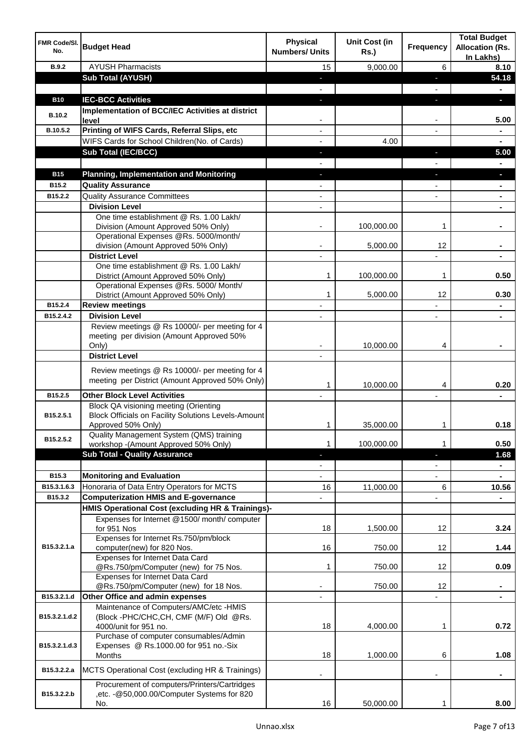| FMR Code/SI.<br>No. | <b>Budget Head</b>                                                                                         | <b>Physical</b><br><b>Numbers/ Units</b> | <b>Unit Cost (in</b><br><b>Rs.)</b> | <b>Frequency</b>         | <b>Total Budget</b><br><b>Allocation (Rs.</b><br>In Lakhs) |
|---------------------|------------------------------------------------------------------------------------------------------------|------------------------------------------|-------------------------------------|--------------------------|------------------------------------------------------------|
| <b>B.9.2</b>        | <b>AYUSH Pharmacists</b>                                                                                   | 15                                       | 9,000.00                            | 6                        | 8.10                                                       |
|                     | <b>Sub Total (AYUSH)</b>                                                                                   | r                                        |                                     | ۳                        | 54.18                                                      |
|                     |                                                                                                            |                                          |                                     |                          |                                                            |
| <b>B10</b>          | <b>IEC-BCC Activities</b>                                                                                  | F                                        |                                     | Е                        | п                                                          |
| <b>B.10.2</b>       | Implementation of BCC/IEC Activities at district<br>level                                                  |                                          |                                     | -                        | 5.00                                                       |
| B.10.5.2            | Printing of WIFS Cards, Referral Slips, etc                                                                | -                                        |                                     | $\overline{\phantom{a}}$ | ۰                                                          |
|                     | WIFS Cards for School Children(No. of Cards)                                                               |                                          | 4.00                                |                          | $\blacksquare$                                             |
|                     | <b>Sub Total (IEC/BCC)</b>                                                                                 | ٠                                        |                                     | н                        | 5.00                                                       |
|                     |                                                                                                            | $\blacksquare$                           |                                     | $\blacksquare$           | $\blacksquare$                                             |
| <b>B15</b>          | <b>Planning, Implementation and Monitoring</b>                                                             | F                                        |                                     | ÷,                       | L                                                          |
| B15.2               | <b>Quality Assurance</b>                                                                                   |                                          |                                     |                          |                                                            |
| B15.2.2             | <b>Quality Assurance Committees</b>                                                                        | ٠                                        |                                     |                          | $\blacksquare$                                             |
|                     | <b>Division Level</b>                                                                                      |                                          |                                     |                          |                                                            |
|                     | One time establishment @ Rs. 1.00 Lakh/                                                                    |                                          |                                     |                          |                                                            |
|                     | Division (Amount Approved 50% Only)                                                                        |                                          | 100,000.00                          | 1                        |                                                            |
|                     | Operational Expenses @Rs. 5000/month/<br>division (Amount Approved 50% Only)                               |                                          | 5,000.00                            | 12                       |                                                            |
|                     | <b>District Level</b>                                                                                      | ٠                                        |                                     | ä,                       |                                                            |
|                     | One time establishment @ Rs. 1.00 Lakh/                                                                    |                                          |                                     |                          |                                                            |
|                     | District (Amount Approved 50% Only)                                                                        | 1                                        | 100,000.00                          | 1                        | 0.50                                                       |
|                     | Operational Expenses @Rs. 5000/Month/                                                                      |                                          |                                     |                          |                                                            |
| B15.2.4             | District (Amount Approved 50% Only)                                                                        | 1                                        | 5,000.00                            | 12                       | 0.30                                                       |
| B15.2.4.2           | <b>Review meetings</b><br><b>Division Level</b>                                                            |                                          |                                     |                          |                                                            |
|                     | Review meetings @ Rs 10000/- per meeting for 4                                                             |                                          |                                     |                          |                                                            |
|                     | meeting per division (Amount Approved 50%                                                                  |                                          |                                     |                          |                                                            |
|                     | Only)                                                                                                      |                                          | 10,000.00                           | 4                        |                                                            |
|                     | <b>District Level</b>                                                                                      |                                          |                                     |                          |                                                            |
|                     | Review meetings @ Rs 10000/- per meeting for 4                                                             |                                          |                                     |                          |                                                            |
|                     | meeting per District (Amount Approved 50% Only)                                                            |                                          | 10,000.00                           | 4                        | 0.20                                                       |
| B15.2.5             | <b>Other Block Level Activities</b>                                                                        |                                          |                                     |                          |                                                            |
|                     | <b>Block QA visioning meeting (Orienting</b>                                                               |                                          |                                     |                          |                                                            |
| B15.2.5.1           | <b>Block Officials on Facility Solutions Levels-Amount</b><br>Approved 50% Only)                           | 1                                        | 35,000.00                           | 1                        | 0.18                                                       |
| B15.2.5.2           | Quality Management System (QMS) training                                                                   |                                          |                                     |                          |                                                            |
|                     | workshop -(Amount Approved 50% Only)                                                                       | 1                                        | 100,000.00                          | 1                        | 0.50                                                       |
|                     | <b>Sub Total - Quality Assurance</b>                                                                       |                                          |                                     |                          | 1.68                                                       |
| B15.3               | <b>Monitoring and Evaluation</b>                                                                           |                                          |                                     |                          | ۰                                                          |
| B15.3.1.6.3         | Honoraria of Data Entry Operators for MCTS                                                                 | 16                                       | 11,000.00                           | 6                        | 10.56                                                      |
| B15.3.2             | <b>Computerization HMIS and E-governance</b>                                                               |                                          |                                     | ٠                        |                                                            |
|                     | <b>HMIS Operational Cost (excluding HR &amp; Trainings)-</b>                                               |                                          |                                     |                          |                                                            |
|                     | Expenses for Internet @1500/month/computer                                                                 |                                          |                                     |                          |                                                            |
|                     | for 951 Nos                                                                                                | 18                                       | 1,500.00                            | 12                       | 3.24                                                       |
| B15.3.2.1.a         | Expenses for Internet Rs.750/pm/block                                                                      | 16                                       | 750.00                              | 12                       | 1.44                                                       |
|                     | computer(new) for 820 Nos.<br>Expenses for Internet Data Card                                              |                                          |                                     |                          |                                                            |
|                     | @Rs.750/pm/Computer (new) for 75 Nos.                                                                      | 1                                        | 750.00                              | 12                       | 0.09                                                       |
|                     | Expenses for Internet Data Card                                                                            |                                          |                                     |                          |                                                            |
|                     | @Rs.750/pm/Computer (new) for 18 Nos.                                                                      |                                          | 750.00                              | 12                       |                                                            |
| B15.3.2.1.d         | Other Office and admin expenses                                                                            | ÷,                                       |                                     |                          |                                                            |
| B15.3.2.1.d.2       | Maintenance of Computers/AMC/etc -HMIS<br>(Block -PHC/CHC, CH, CMF (M/F) Old @Rs.<br>4000/unit for 951 no. | 18                                       | 4,000.00                            | 1                        | 0.72                                                       |
| B15.3.2.1.d.3       | Purchase of computer consumables/Admin<br>Expenses @ Rs.1000.00 for 951 no.-Six                            | 18                                       | 1,000.00                            |                          | 1.08                                                       |
|                     | Months                                                                                                     |                                          |                                     | 6                        |                                                            |
| B15.3.2.2.a         | MCTS Operational Cost (excluding HR & Trainings)                                                           |                                          |                                     |                          | ۰                                                          |
|                     | Procurement of computers/Printers/Cartridges                                                               |                                          |                                     |                          |                                                            |
| B15.3.2.2.b         | ,etc. - @50,000.00/Computer Systems for 820<br>No.                                                         | 16                                       | 50,000.00                           | 1                        | 8.00                                                       |
|                     |                                                                                                            |                                          |                                     |                          |                                                            |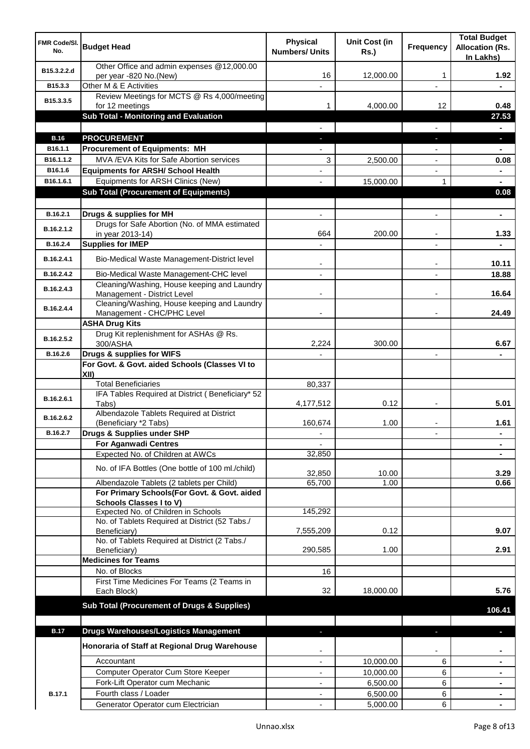| FMR Code/SI.<br>No. | <b>Budget Head</b>                                                                            | <b>Physical</b><br><b>Numbers/ Units</b> | Unit Cost (in<br><b>Rs.)</b> | <b>Frequency</b> | <b>Total Budget</b><br><b>Allocation (Rs.</b><br>In Lakhs) |
|---------------------|-----------------------------------------------------------------------------------------------|------------------------------------------|------------------------------|------------------|------------------------------------------------------------|
| B15.3.2.2.d         | Other Office and admin expenses @12,000.00<br>per year -820 No.(New)                          | 16                                       | 12,000.00                    | 1                | 1.92                                                       |
| B15.3.3             | Other M & E Activities                                                                        |                                          |                              |                  |                                                            |
| B15.3.3.5           | Review Meetings for MCTS @ Rs 4,000/meeting<br>for 12 meetings                                | 1                                        | 4,000.00                     | 12               | 0.48                                                       |
|                     | Sub Total - Monitoring and Evaluation                                                         |                                          |                              |                  | 27.53                                                      |
|                     |                                                                                               |                                          |                              |                  |                                                            |
| <b>B.16</b>         | <b>PROCUREMENT</b>                                                                            |                                          |                              | T                | D.                                                         |
| B16.1.1             | <b>Procurement of Equipments: MH</b>                                                          |                                          |                              |                  |                                                            |
| B16.1.1.2           | MVA / EVA Kits for Safe Abortion services                                                     | 3                                        | 2,500.00                     | ÷,               | 0.08                                                       |
| B16.1.6             | <b>Equipments for ARSH/ School Health</b>                                                     |                                          |                              |                  |                                                            |
| B16.1.6.1           | Equipments for ARSH Clinics (New)                                                             |                                          | 15,000.00                    | 1                |                                                            |
|                     | <b>Sub Total (Procurement of Equipments)</b>                                                  |                                          |                              |                  | 0.08                                                       |
|                     |                                                                                               |                                          |                              |                  |                                                            |
| B.16.2.1            | Drugs & supplies for MH                                                                       | $\frac{1}{2}$                            |                              | ÷,               | $\blacksquare$                                             |
| B.16.2.1.2          | Drugs for Safe Abortion (No. of MMA estimated<br>in year 2013-14)                             | 664                                      | 200.00                       |                  | 1.33                                                       |
| B.16.2.4            | <b>Supplies for IMEP</b>                                                                      |                                          |                              | $\overline{a}$   |                                                            |
|                     |                                                                                               |                                          |                              |                  |                                                            |
| B.16.2.4.1          | Bio-Medical Waste Management-District level                                                   | $\overline{\phantom{a}}$                 |                              | ۰                | 10.11                                                      |
| B.16.2.4.2          | Bio-Medical Waste Management-CHC level                                                        | $\blacksquare$                           |                              | $\overline{a}$   | 18.88                                                      |
| B.16.2.4.3          | Cleaning/Washing, House keeping and Laundry                                                   |                                          |                              |                  |                                                            |
|                     | Management - District Level                                                                   |                                          |                              |                  | 16.64                                                      |
| B.16.2.4.4          | Cleaning/Washing, House keeping and Laundry<br>Management - CHC/PHC Level                     |                                          |                              |                  | 24.49                                                      |
|                     | <b>ASHA Drug Kits</b>                                                                         |                                          |                              |                  |                                                            |
| B.16.2.5.2          | Drug Kit replenishment for ASHAs @ Rs.<br>300/ASHA                                            | 2,224                                    | 300.00                       |                  | 6.67                                                       |
| B.16.2.6            | Drugs & supplies for WIFS                                                                     |                                          |                              | ä,               | ۰                                                          |
|                     | For Govt. & Govt. aided Schools (Classes VI to                                                |                                          |                              |                  |                                                            |
|                     | XII)                                                                                          |                                          |                              |                  |                                                            |
|                     | <b>Total Beneficiaries</b>                                                                    | 80,337                                   |                              |                  |                                                            |
| B.16.2.6.1          | IFA Tables Required at District (Beneficiary* 52<br>Tabs)                                     | 4,177,512                                | 0.12                         |                  | 5.01                                                       |
| B.16.2.6.2          | Albendazole Tablets Required at District<br>(Beneficiary *2 Tabs)                             | 160,674                                  | 1.00                         |                  | 1.61                                                       |
| B.16.2.7            | Drugs & Supplies under SHP                                                                    | ٠                                        |                              |                  | ٠                                                          |
|                     | <b>For Aganwadi Centres</b>                                                                   |                                          |                              |                  | ۰                                                          |
|                     | Expected No. of Children at AWCs                                                              | 32,850                                   |                              |                  |                                                            |
|                     | No. of IFA Bottles (One bottle of 100 ml./child)                                              | 32,850                                   | 10.00                        |                  | 3.29                                                       |
|                     | Albendazole Tablets (2 tablets per Child)                                                     | 65,700                                   | 1.00                         |                  | 0.66                                                       |
|                     | For Primary Schools(For Govt. & Govt. aided                                                   |                                          |                              |                  |                                                            |
|                     | <b>Schools Classes I to V)</b>                                                                |                                          |                              |                  |                                                            |
|                     | Expected No. of Children in Schools<br>No. of Tablets Required at District (52 Tabs./         | 145,292                                  |                              |                  |                                                            |
|                     | Beneficiary)                                                                                  | 7,555,209                                | 0.12                         |                  | 9.07                                                       |
|                     | No. of Tablets Required at District (2 Tabs./                                                 |                                          |                              |                  |                                                            |
|                     | Beneficiary)                                                                                  | 290,585                                  | 1.00                         |                  | 2.91                                                       |
|                     | <b>Medicines for Teams</b>                                                                    |                                          |                              |                  |                                                            |
|                     | No. of Blocks                                                                                 | 16                                       |                              |                  |                                                            |
|                     | First Time Medicines For Teams (2 Teams in<br>Each Block)                                     | 32                                       | 18,000.00                    |                  | 5.76                                                       |
|                     | <b>Sub Total (Procurement of Drugs &amp; Supplies)</b>                                        |                                          |                              |                  | 106.41                                                     |
|                     |                                                                                               |                                          |                              |                  |                                                            |
| <b>B.17</b>         | <b>Drugs Warehouses/Logistics Management</b><br>Honoraria of Staff at Regional Drug Warehouse | J.                                       |                              | J,               | o,                                                         |
|                     |                                                                                               |                                          |                              |                  |                                                            |
|                     | Accountant                                                                                    |                                          | 10,000.00                    | 6                |                                                            |
|                     | Computer Operator Cum Store Keeper                                                            | ٠                                        | 10,000.00                    | 6                |                                                            |
|                     | Fork-Lift Operator cum Mechanic                                                               |                                          | 6,500.00                     | 6                |                                                            |
| <b>B.17.1</b>       | Fourth class / Loader                                                                         |                                          | 6,500.00                     | 6                |                                                            |
|                     | Generator Operator cum Electrician                                                            |                                          | 5,000.00                     | 6                |                                                            |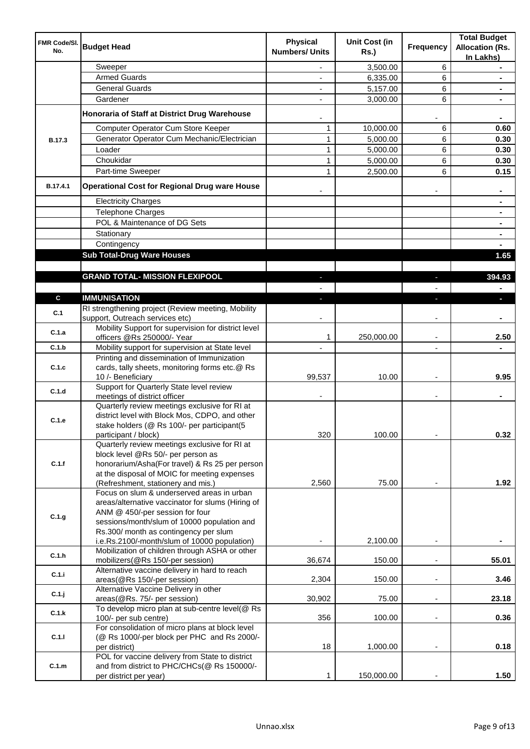| <b>FMR Code/SI.</b><br>No. | <b>Budget Head</b>                                                                                                                                                                                                                                                         | <b>Physical</b><br><b>Numbers/ Units</b> | <b>Unit Cost (in</b><br><b>Rs.)</b> | <b>Frequency</b>         | <b>Total Budget</b><br><b>Allocation (Rs.</b><br>In Lakhs) |
|----------------------------|----------------------------------------------------------------------------------------------------------------------------------------------------------------------------------------------------------------------------------------------------------------------------|------------------------------------------|-------------------------------------|--------------------------|------------------------------------------------------------|
|                            | Sweeper                                                                                                                                                                                                                                                                    |                                          | 3,500.00                            | 6                        |                                                            |
|                            | <b>Armed Guards</b>                                                                                                                                                                                                                                                        |                                          | 6,335.00                            | 6                        |                                                            |
|                            | <b>General Guards</b>                                                                                                                                                                                                                                                      |                                          | 5,157.00                            | 6                        |                                                            |
|                            | Gardener                                                                                                                                                                                                                                                                   |                                          | 3,000.00                            | 6                        |                                                            |
|                            | Honoraria of Staff at District Drug Warehouse                                                                                                                                                                                                                              |                                          |                                     |                          |                                                            |
|                            | Computer Operator Cum Store Keeper                                                                                                                                                                                                                                         | 1                                        | 10,000.00                           | 6                        | 0.60                                                       |
| <b>B.17.3</b>              | Generator Operator Cum Mechanic/Electrician                                                                                                                                                                                                                                | 1                                        | 5,000.00                            | 6                        | 0.30                                                       |
|                            | Loader                                                                                                                                                                                                                                                                     | 1                                        | 5,000.00                            | 6                        | 0.30                                                       |
|                            | Choukidar                                                                                                                                                                                                                                                                  | 1                                        | 5,000.00                            | 6                        | 0.30                                                       |
| B.17.4.1                   | Part-time Sweeper<br><b>Operational Cost for Regional Drug ware House</b>                                                                                                                                                                                                  | 1                                        | 2,500.00                            | 6                        | 0.15                                                       |
|                            |                                                                                                                                                                                                                                                                            |                                          |                                     |                          |                                                            |
|                            | <b>Electricity Charges</b>                                                                                                                                                                                                                                                 |                                          |                                     |                          |                                                            |
|                            | <b>Telephone Charges</b><br>POL & Maintenance of DG Sets                                                                                                                                                                                                                   |                                          |                                     |                          |                                                            |
|                            | Stationary                                                                                                                                                                                                                                                                 |                                          |                                     |                          |                                                            |
|                            | Contingency                                                                                                                                                                                                                                                                |                                          |                                     |                          |                                                            |
|                            | <b>Sub Total-Drug Ware Houses</b>                                                                                                                                                                                                                                          |                                          |                                     |                          | 1.65                                                       |
|                            |                                                                                                                                                                                                                                                                            |                                          |                                     |                          |                                                            |
|                            | <b>GRAND TOTAL- MISSION FLEXIPOOL</b>                                                                                                                                                                                                                                      |                                          |                                     |                          | 394.93                                                     |
|                            |                                                                                                                                                                                                                                                                            |                                          |                                     |                          |                                                            |
| $\mathbf c$                | <b>IMMUNISATION</b><br>RI strengthening project (Review meeting, Mobility                                                                                                                                                                                                  |                                          |                                     |                          |                                                            |
| C.1                        | support, Outreach services etc)                                                                                                                                                                                                                                            |                                          |                                     |                          |                                                            |
| C.1.a                      | Mobility Support for supervision for district level<br>officers @Rs 250000/- Year                                                                                                                                                                                          | 1                                        | 250,000.00                          |                          | 2.50                                                       |
| C.1.b                      | Mobility support for supervision at State level                                                                                                                                                                                                                            |                                          |                                     |                          |                                                            |
|                            | Printing and dissemination of Immunization                                                                                                                                                                                                                                 |                                          |                                     |                          |                                                            |
| C.1.c                      | cards, tally sheets, monitoring forms etc.@ Rs                                                                                                                                                                                                                             |                                          |                                     |                          |                                                            |
|                            | 10 /- Beneficiary                                                                                                                                                                                                                                                          | 99,537                                   | 10.00                               |                          | 9.95                                                       |
| C.1.d                      | Support for Quarterly State level review<br>meetings of district officer                                                                                                                                                                                                   |                                          |                                     |                          |                                                            |
| C.1.e                      | Quarterly review meetings exclusive for RI at<br>district level with Block Mos, CDPO, and other<br>stake holders (@ Rs 100/- per participant(5<br>participant / block)                                                                                                     | 320                                      | 100.00                              |                          | 0.32                                                       |
| C.1.f                      | Quarterly review meetings exclusive for RI at<br>block level @Rs 50/- per person as<br>honorarium/Asha(For travel) & Rs 25 per person<br>at the disposal of MOIC for meeting expenses<br>(Refreshment, stationery and mis.)                                                | 2,560                                    | 75.00                               | $\overline{\phantom{a}}$ | 1.92                                                       |
| C.1.g                      | Focus on slum & underserved areas in urban<br>areas/alternative vaccinator for slums (Hiring of<br>ANM @ 450/-per session for four<br>sessions/month/slum of 10000 population and<br>Rs.300/ month as contingency per slum<br>i.e.Rs.2100/-month/slum of 10000 population) | $\overline{\phantom{m}}$                 | 2,100.00                            | $\overline{a}$           | $\blacksquare$                                             |
| C.1.h                      | Mobilization of children through ASHA or other<br>mobilizers(@Rs 150/-per session)                                                                                                                                                                                         | 36,674                                   | 150.00                              |                          | 55.01                                                      |
| C.1.i                      | Alternative vaccine delivery in hard to reach<br>areas(@Rs 150/-per session)                                                                                                                                                                                               | 2,304                                    | 150.00                              |                          | 3.46                                                       |
| C.1.j                      | Alternative Vaccine Delivery in other<br>areas(@Rs. 75/- per session)                                                                                                                                                                                                      | 30,902                                   | 75.00                               |                          | 23.18                                                      |
| C.1.k                      | To develop micro plan at sub-centre level(@ Rs<br>100/- per sub centre)                                                                                                                                                                                                    | 356                                      | 100.00                              |                          | 0.36                                                       |
|                            | For consolidation of micro plans at block level                                                                                                                                                                                                                            |                                          |                                     |                          |                                                            |
| C.1.1                      | (@ Rs 1000/-per block per PHC and Rs 2000/-<br>per district)                                                                                                                                                                                                               | 18                                       | 1,000.00                            |                          | 0.18                                                       |
|                            | POL for vaccine delivery from State to district                                                                                                                                                                                                                            |                                          |                                     |                          |                                                            |
| C.1.m                      | and from district to PHC/CHCs(@ Rs 150000/-<br>per district per year)                                                                                                                                                                                                      | 1                                        | 150,000.00                          |                          | 1.50                                                       |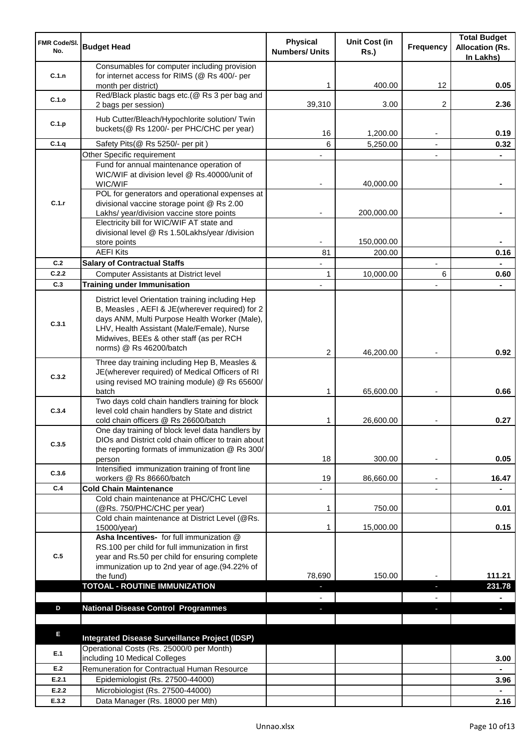| FMR Code/SI.<br>No. | <b>Budget Head</b>                                                                                                                                                                                                                             | <b>Physical</b><br><b>Numbers/ Units</b> | <b>Unit Cost (in</b><br><b>Rs.)</b> | <b>Frequency</b> | <b>Total Budget</b><br><b>Allocation (Rs.</b><br>In Lakhs) |
|---------------------|------------------------------------------------------------------------------------------------------------------------------------------------------------------------------------------------------------------------------------------------|------------------------------------------|-------------------------------------|------------------|------------------------------------------------------------|
| C.1.n               | Consumables for computer including provision<br>for internet access for RIMS (@ Rs 400/- per<br>month per district)                                                                                                                            |                                          | 400.00                              | 12               | 0.05                                                       |
| C.1.o               | Red/Black plastic bags etc.(@ Rs 3 per bag and<br>2 bags per session)                                                                                                                                                                          | 39,310                                   | 3.00                                | 2                | 2.36                                                       |
| C.1.p               | Hub Cutter/Bleach/Hypochlorite solution/ Twin<br>buckets(@ Rs 1200/- per PHC/CHC per year)                                                                                                                                                     |                                          |                                     |                  |                                                            |
| C.1.q               | Safety Pits(@ Rs 5250/- per pit)                                                                                                                                                                                                               | 16<br>6                                  | 1,200.00<br>5,250.00                |                  | 0.19<br>0.32                                               |
|                     | Other Specific requirement                                                                                                                                                                                                                     |                                          |                                     |                  |                                                            |
|                     | Fund for annual maintenance operation of<br>WIC/WIF at division level @ Rs.40000/unit of<br>WIC/WIF                                                                                                                                            |                                          | 40,000.00                           |                  |                                                            |
| C.1.r               | POL for generators and operational expenses at<br>divisional vaccine storage point @ Rs 2.00<br>Lakhs/ year/division vaccine store points                                                                                                      |                                          | 200,000.00                          |                  |                                                            |
|                     | Electricity bill for WIC/WIF AT state and<br>divisional level @ Rs 1.50Lakhs/year /division<br>store points                                                                                                                                    |                                          | 150,000.00                          |                  |                                                            |
|                     | <b>AEFI Kits</b>                                                                                                                                                                                                                               | 81                                       | 200.00                              |                  | 0.16                                                       |
| C.2                 | <b>Salary of Contractual Staffs</b>                                                                                                                                                                                                            |                                          |                                     | ä,               |                                                            |
| C.2.2               | <b>Computer Assistants at District level</b>                                                                                                                                                                                                   | 1                                        | 10,000.00                           | 6                | 0.60                                                       |
| C.3                 | <b>Training under Immunisation</b>                                                                                                                                                                                                             | $\blacksquare$                           |                                     | $\blacksquare$   | $\blacksquare$                                             |
| C.3.1               | District level Orientation training including Hep<br>B, Measles, AEFI & JE(wherever required) for 2<br>days ANM, Multi Purpose Health Worker (Male),<br>LHV, Health Assistant (Male/Female), Nurse<br>Midwives, BEEs & other staff (as per RCH |                                          |                                     |                  |                                                            |
|                     | norms) @ Rs 46200/batch                                                                                                                                                                                                                        | 2                                        | 46,200.00                           |                  | 0.92                                                       |
| C.3.2               | Three day training including Hep B, Measles &<br>JE(wherever required) of Medical Officers of RI<br>using revised MO training module) @ Rs 65600/                                                                                              |                                          |                                     |                  |                                                            |
|                     | batch                                                                                                                                                                                                                                          | 1                                        | 65,600.00                           |                  | 0.66                                                       |
| C.3.4               | Two days cold chain handlers training for block<br>level cold chain handlers by State and district<br>cold chain officers @ Rs 26600/batch                                                                                                     |                                          | 26,600.00                           |                  | 0.27                                                       |
| C.3.5               | One day training of block level data handlers by<br>DIOs and District cold chain officer to train about<br>the reporting formats of immunization @ Rs 300/                                                                                     | 18                                       |                                     |                  | 0.05                                                       |
|                     | person<br>Intensified immunization training of front line                                                                                                                                                                                      |                                          | 300.00                              |                  |                                                            |
| C.3.6               | workers @ Rs 86660/batch                                                                                                                                                                                                                       | 19                                       | 86,660.00                           |                  | 16.47                                                      |
| C.4                 | <b>Cold Chain Maintenance</b>                                                                                                                                                                                                                  |                                          |                                     |                  |                                                            |
|                     | Cold chain maintenance at PHC/CHC Level<br>(@Rs. 750/PHC/CHC per year)<br>Cold chain maintenance at District Level (@Rs.                                                                                                                       | 1                                        | 750.00                              |                  | 0.01                                                       |
|                     | 15000/year)                                                                                                                                                                                                                                    | 1                                        | 15,000.00                           |                  | 0.15                                                       |
| C.5                 | Asha Incentives- for full immunization @<br>RS.100 per child for full immunization in first<br>year and Rs.50 per child for ensuring complete<br>immunization up to 2nd year of age.(94.22% of                                                 |                                          |                                     |                  |                                                            |
|                     | the fund)                                                                                                                                                                                                                                      | 78,690                                   | 150.00                              |                  | 111.21                                                     |
|                     | <b>TOTOAL - ROUTINE IMMUNIZATION</b>                                                                                                                                                                                                           | E.                                       |                                     |                  | 231.78                                                     |
|                     |                                                                                                                                                                                                                                                |                                          |                                     |                  |                                                            |
| D                   | <b>National Disease Control Programmes</b>                                                                                                                                                                                                     |                                          |                                     |                  |                                                            |
| E                   | <b>Integrated Disease Surveillance Project (IDSP)</b>                                                                                                                                                                                          |                                          |                                     |                  |                                                            |
| E.1                 | Operational Costs (Rs. 25000/0 per Month)<br>including 10 Medical Colleges                                                                                                                                                                     |                                          |                                     |                  | 3.00                                                       |
| E.2                 | Remuneration for Contractual Human Resource                                                                                                                                                                                                    |                                          |                                     |                  | $\blacksquare$                                             |
| E.2.1               | Epidemiologist (Rs. 27500-44000)                                                                                                                                                                                                               |                                          |                                     |                  | 3.96                                                       |
| E.2.2               | Microbiologist (Rs. 27500-44000)                                                                                                                                                                                                               |                                          |                                     |                  | $\blacksquare$                                             |
| E.3.2               | Data Manager (Rs. 18000 per Mth)                                                                                                                                                                                                               |                                          |                                     |                  | 2.16                                                       |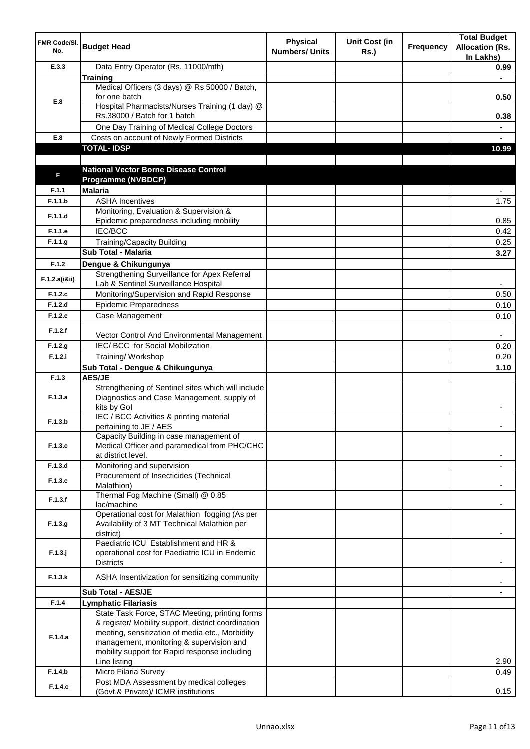| FMR Code/SI.<br>No. | <b>Budget Head</b>                                                                                    | <b>Physical</b><br><b>Numbers/ Units</b> | <b>Unit Cost (in</b><br><b>Rs.)</b> | Frequency | <b>Total Budget</b><br><b>Allocation (Rs.</b><br>In Lakhs) |
|---------------------|-------------------------------------------------------------------------------------------------------|------------------------------------------|-------------------------------------|-----------|------------------------------------------------------------|
| E.3.3               | Data Entry Operator (Rs. 11000/mth)                                                                   |                                          |                                     |           | 0.99                                                       |
|                     | <b>Training</b>                                                                                       |                                          |                                     |           |                                                            |
|                     | Medical Officers (3 days) @ Rs 50000 / Batch,                                                         |                                          |                                     |           |                                                            |
| E.8                 | for one batch                                                                                         |                                          |                                     |           | 0.50                                                       |
|                     | Hospital Pharmacists/Nurses Training (1 day) @<br>Rs.38000 / Batch for 1 batch                        |                                          |                                     |           | 0.38                                                       |
|                     | One Day Training of Medical College Doctors                                                           |                                          |                                     |           |                                                            |
| E.8                 | Costs on account of Newly Formed Districts                                                            |                                          |                                     |           |                                                            |
|                     | <b>TOTAL-IDSP</b>                                                                                     |                                          |                                     |           | 10.99                                                      |
|                     |                                                                                                       |                                          |                                     |           |                                                            |
|                     | <b>National Vector Borne Disease Control</b>                                                          |                                          |                                     |           |                                                            |
| F                   | <b>Programme (NVBDCP)</b>                                                                             |                                          |                                     |           |                                                            |
| F.1.1               | <b>Malaria</b>                                                                                        |                                          |                                     |           |                                                            |
| F.1.1.b             | <b>ASHA Incentives</b>                                                                                |                                          |                                     |           | 1.75                                                       |
| F.1.1.d             | Monitoring, Evaluation & Supervision &                                                                |                                          |                                     |           |                                                            |
|                     | Epidemic preparedness including mobility                                                              |                                          |                                     |           | 0.85                                                       |
| F.1.1.e             | <b>IEC/BCC</b>                                                                                        |                                          |                                     |           | 0.42                                                       |
| F.1.1.g             | <b>Training/Capacity Building</b>                                                                     |                                          |                                     |           | 0.25                                                       |
|                     | Sub Total - Malaria                                                                                   |                                          |                                     |           | 3.27                                                       |
| F.1.2               | Dengue & Chikungunya                                                                                  |                                          |                                     |           |                                                            |
| F.1.2.a(iⅈ)         | Strengthening Surveillance for Apex Referral<br>Lab & Sentinel Surveillance Hospital                  |                                          |                                     |           |                                                            |
| F.1.2.c             | Monitoring/Supervision and Rapid Response                                                             |                                          |                                     |           | 0.50                                                       |
| F.1.2.d             | <b>Epidemic Preparedness</b>                                                                          |                                          |                                     |           | 0.10                                                       |
| F.1.2.e             | Case Management                                                                                       |                                          |                                     |           | 0.10                                                       |
|                     |                                                                                                       |                                          |                                     |           |                                                            |
| F.1.2.f             | Vector Control And Environmental Management                                                           |                                          |                                     |           |                                                            |
| F.1.2.g             | IEC/ BCC for Social Mobilization                                                                      |                                          |                                     |           | 0.20                                                       |
| F.1.2.i             | Training/ Workshop                                                                                    |                                          |                                     |           | 0.20                                                       |
|                     | Sub Total - Dengue & Chikungunya                                                                      |                                          |                                     |           | 1.10                                                       |
| F.1.3               | <b>AES/JE</b>                                                                                         |                                          |                                     |           |                                                            |
| F.1.3.a             | Strengthening of Sentinel sites which will include<br>Diagnostics and Case Management, supply of      |                                          |                                     |           |                                                            |
|                     | kits by Gol                                                                                           |                                          |                                     |           |                                                            |
|                     | IEC / BCC Activities & printing material                                                              |                                          |                                     |           |                                                            |
| F.1.3.b             | pertaining to JE / AES                                                                                |                                          |                                     |           |                                                            |
|                     | Capacity Building in case management of                                                               |                                          |                                     |           |                                                            |
| F.1.3.c             | Medical Officer and paramedical from PHC/CHC                                                          |                                          |                                     |           |                                                            |
| F.1.3.d             | at district level.<br>Monitoring and supervision                                                      |                                          |                                     |           |                                                            |
|                     | Procurement of Insecticides (Technical                                                                |                                          |                                     |           |                                                            |
| F.1.3.e             | Malathion)                                                                                            |                                          |                                     |           |                                                            |
| F.1.3.f             | Thermal Fog Machine (Small) @ 0.85                                                                    |                                          |                                     |           |                                                            |
|                     | lac/machine                                                                                           |                                          |                                     |           |                                                            |
|                     | Operational cost for Malathion fogging (As per                                                        |                                          |                                     |           |                                                            |
| F.1.3.g             | Availability of 3 MT Technical Malathion per                                                          |                                          |                                     |           |                                                            |
|                     | district)<br>Paediatric ICU Establishment and HR &                                                    |                                          |                                     |           |                                                            |
| $F.1.3.$ j          | operational cost for Paediatric ICU in Endemic                                                        |                                          |                                     |           |                                                            |
|                     | <b>Districts</b>                                                                                      |                                          |                                     |           |                                                            |
| F.1.3.k             | ASHA Insentivization for sensitizing community                                                        |                                          |                                     |           |                                                            |
|                     |                                                                                                       |                                          |                                     |           |                                                            |
|                     | <b>Sub Total - AES/JE</b>                                                                             |                                          |                                     |           |                                                            |
| F.1.4               | <b>Lymphatic Filariasis</b>                                                                           |                                          |                                     |           |                                                            |
|                     | State Task Force, STAC Meeting, printing forms<br>& register/ Mobility support, district coordination |                                          |                                     |           |                                                            |
|                     | meeting, sensitization of media etc., Morbidity                                                       |                                          |                                     |           |                                                            |
| F.1.4.a             | management, monitoring & supervision and                                                              |                                          |                                     |           |                                                            |
|                     | mobility support for Rapid response including                                                         |                                          |                                     |           |                                                            |
|                     | Line listing                                                                                          |                                          |                                     |           | 2.90                                                       |
| F.1.4.b             | Micro Filaria Survey                                                                                  |                                          |                                     |           | 0.49                                                       |
| F.1.4.c             | Post MDA Assessment by medical colleges<br>(Govt,& Private)/ ICMR institutions                        |                                          |                                     |           | 0.15                                                       |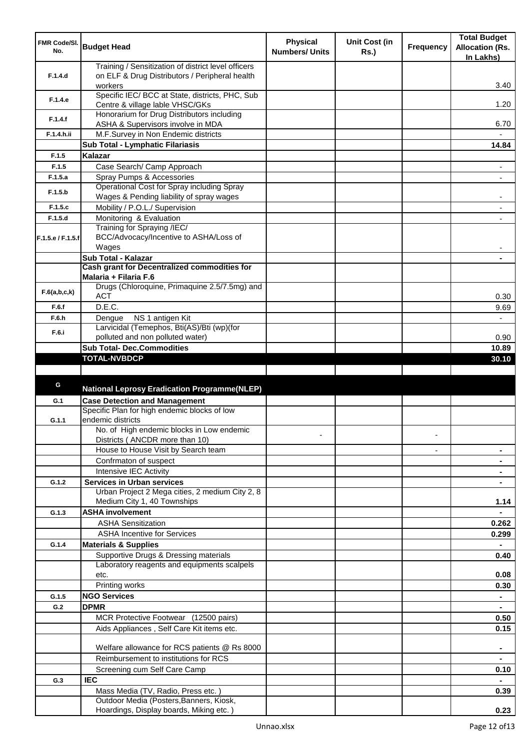| FMR Code/SI.<br>No. | <b>Budget Head</b>                                                                                               | <b>Physical</b><br><b>Numbers/ Units</b> | <b>Unit Cost (in</b><br><b>Rs.</b> ) | <b>Frequency</b>         | <b>Total Budget</b><br><b>Allocation (Rs.</b><br>In Lakhs) |
|---------------------|------------------------------------------------------------------------------------------------------------------|------------------------------------------|--------------------------------------|--------------------------|------------------------------------------------------------|
| F.1.4.d             | Training / Sensitization of district level officers<br>on ELF & Drug Distributors / Peripheral health<br>workers |                                          |                                      |                          | 3.40                                                       |
| F.1.4.e             | Specific IEC/ BCC at State, districts, PHC, Sub<br>Centre & village lable VHSC/GKs                               |                                          |                                      |                          | 1.20                                                       |
| F.1.4.f             | Honorarium for Drug Distributors including<br>ASHA & Supervisors involve in MDA                                  |                                          |                                      |                          | 6.70                                                       |
| F.1.4.h.ii          | M.F.Survey in Non Endemic districts                                                                              |                                          |                                      |                          |                                                            |
|                     | Sub Total - Lymphatic Filariasis                                                                                 |                                          |                                      |                          | 14.84                                                      |
| F.1.5               | Kalazar                                                                                                          |                                          |                                      |                          |                                                            |
| F.1.5               | Case Search/ Camp Approach                                                                                       |                                          |                                      |                          | $\overline{\phantom{a}}$                                   |
| F.1.5.a             | Spray Pumps & Accessories                                                                                        |                                          |                                      |                          | $\blacksquare$                                             |
| F.1.5.b             | Operational Cost for Spray including Spray<br>Wages & Pending liability of spray wages                           |                                          |                                      |                          |                                                            |
| F.1.5.c             | Mobility / P.O.L./ Supervision                                                                                   |                                          |                                      |                          |                                                            |
| F.1.5.d             | Monitoring & Evaluation<br>Training for Spraying /IEC/                                                           |                                          |                                      |                          |                                                            |
| F.1.5.e / F.1.5.f   | BCC/Advocacy/Incentive to ASHA/Loss of<br>Wages                                                                  |                                          |                                      |                          |                                                            |
|                     | <b>Sub Total - Kalazar</b>                                                                                       |                                          |                                      |                          |                                                            |
|                     | Cash grant for Decentralized commodities for                                                                     |                                          |                                      |                          |                                                            |
|                     | Malaria + Filaria F.6                                                                                            |                                          |                                      |                          |                                                            |
| F.6(a,b,c,k)        | Drugs (Chloroquine, Primaquine 2.5/7.5mg) and<br><b>ACT</b>                                                      |                                          |                                      |                          | 0.30                                                       |
| F.6.f               | D.E.C.                                                                                                           |                                          |                                      |                          | 9.69                                                       |
| F.6.h               | NS 1 antigen Kit<br>Dengue                                                                                       |                                          |                                      |                          |                                                            |
| F.6.i               | Larvicidal (Temephos, Bti(AS)/Bti (wp)(for                                                                       |                                          |                                      |                          |                                                            |
|                     | polluted and non polluted water)                                                                                 |                                          |                                      |                          | 0.90                                                       |
|                     | <b>Sub Total- Dec.Commodities</b><br><b>TOTAL-NVBDCP</b>                                                         |                                          |                                      |                          | 10.89                                                      |
|                     |                                                                                                                  |                                          |                                      |                          | 30.10                                                      |
|                     |                                                                                                                  |                                          |                                      |                          |                                                            |
| G                   | <b>National Leprosy Eradication Programme(NLEP)</b>                                                              |                                          |                                      |                          |                                                            |
|                     |                                                                                                                  |                                          |                                      |                          |                                                            |
| G.1                 | <b>Case Detection and Management</b><br>Specific Plan for high endemic blocks of low                             |                                          |                                      |                          |                                                            |
| G.1.1               | endemic districts                                                                                                |                                          |                                      |                          |                                                            |
|                     | No. of High endemic blocks in Low endemic                                                                        |                                          |                                      |                          |                                                            |
|                     | Districts ( ANCDR more than 10)                                                                                  |                                          |                                      |                          |                                                            |
|                     | House to House Visit by Search team                                                                              |                                          |                                      | $\overline{\phantom{a}}$ |                                                            |
|                     | Confrmaton of suspect                                                                                            |                                          |                                      |                          |                                                            |
|                     | Intensive IEC Activity                                                                                           |                                          |                                      |                          |                                                            |
| G.1.2               | <b>Services in Urban services</b>                                                                                |                                          |                                      |                          |                                                            |
|                     | Urban Project 2 Mega cities, 2 medium City 2, 8<br>Medium City 1, 40 Townships                                   |                                          |                                      |                          | 1.14                                                       |
| G.1.3               | <b>ASHA involvement</b>                                                                                          |                                          |                                      |                          |                                                            |
|                     | <b>ASHA Sensitization</b>                                                                                        |                                          |                                      |                          | 0.262                                                      |
|                     | <b>ASHA Incentive for Services</b>                                                                               |                                          |                                      |                          | 0.299                                                      |
| G.1.4               | <b>Materials &amp; Supplies</b>                                                                                  |                                          |                                      |                          |                                                            |
|                     | Supportive Drugs & Dressing materials                                                                            |                                          |                                      |                          | 0.40                                                       |
|                     | Laboratory reagents and equipments scalpels                                                                      |                                          |                                      |                          |                                                            |
|                     | etc.                                                                                                             |                                          |                                      |                          | 0.08                                                       |
|                     | Printing works                                                                                                   |                                          |                                      |                          | 0.30                                                       |
| G.1.5               | <b>NGO Services</b>                                                                                              |                                          |                                      |                          |                                                            |
| G.2                 | <b>DPMR</b>                                                                                                      |                                          |                                      |                          |                                                            |
|                     | MCR Protective Footwear (12500 pairs)                                                                            |                                          |                                      |                          | 0.50                                                       |
|                     | Aids Appliances, Self Care Kit items etc.                                                                        |                                          |                                      |                          | 0.15                                                       |
|                     | Welfare allowance for RCS patients @ Rs 8000                                                                     |                                          |                                      |                          |                                                            |
|                     | Reimbursement to institutions for RCS                                                                            |                                          |                                      |                          |                                                            |
|                     | Screening cum Self Care Camp                                                                                     |                                          |                                      |                          |                                                            |
| G.3                 | <b>IEC</b>                                                                                                       |                                          |                                      |                          | 0.10                                                       |
|                     | Mass Media (TV, Radio, Press etc.)                                                                               |                                          |                                      |                          |                                                            |
|                     | Outdoor Media (Posters, Banners, Kiosk,                                                                          |                                          |                                      |                          | 0.39                                                       |
|                     | Hoardings, Display boards, Miking etc.)                                                                          |                                          |                                      |                          | 0.23                                                       |